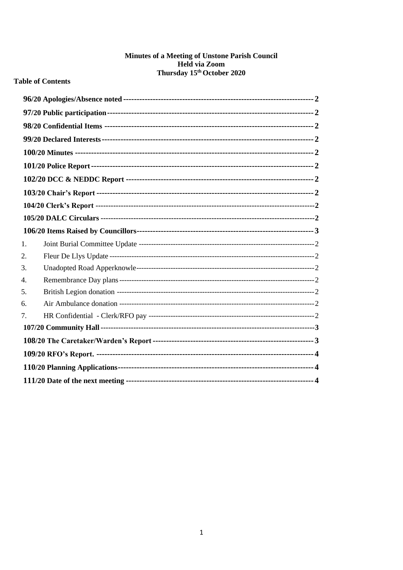# Minutes of a Meeting of Unstone Parish Council Held via Zoom<br>Thursday 15<sup>th</sup> October 2020

### **Table of Contents**

| 1. |  |
|----|--|
| 2. |  |
| 3. |  |
| 4. |  |
| 5. |  |
| 6. |  |
| 7. |  |
|    |  |
|    |  |
|    |  |
|    |  |
|    |  |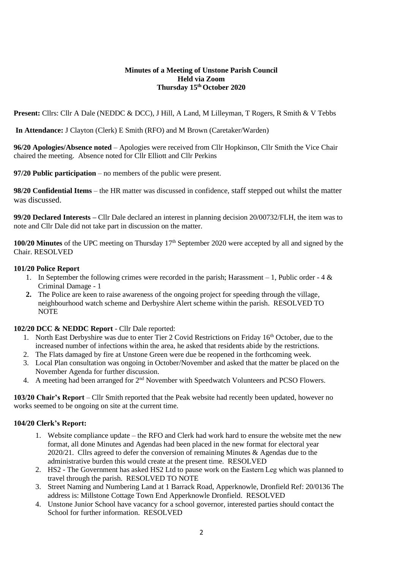#### **Minutes of a Meeting of Unstone Parish Council Held via Zoom Thursday 15th October 2020**

Present: Cllrs: Cllr A Dale (NEDDC & DCC), J Hill, A Land, M Lilleyman, T Rogers, R Smith & V Tebbs

**In Attendance:** J Clayton (Clerk) E Smith (RFO) and M Brown (Caretaker/Warden)

<span id="page-1-0"></span>**96/20 Apologies/Absence noted** – Apologies were received from Cllr Hopkinson, Cllr Smith the Vice Chair chaired the meeting. Absence noted for Cllr Elliott and Cllr Perkins

<span id="page-1-1"></span>**97/20 Public participation** – no members of the public were present.

<span id="page-1-2"></span>**98/20 Confidential Items** – the HR matter was discussed in confidence, staff stepped out whilst the matter was discussed.

<span id="page-1-3"></span>**99/20 Declared Interests –** Cllr Dale declared an interest in planning decision 20/00732/FLH, the item was to note and Cllr Dale did not take part in discussion on the matter.

<span id="page-1-4"></span>**100/20 Minutes** of the UPC meeting on Thursday 17<sup>th</sup> September 2020 were accepted by all and signed by the Chair. RESOLVED

#### <span id="page-1-5"></span>**101/20 Police Report**

- 1. In September the following crimes were recorded in the parish; Harassment  $-1$ , Public order 4  $\&$ Criminal Damage - 1
- **2.** The Police are keen to raise awareness of the ongoing project for speeding through the village, neighbourhood watch scheme and Derbyshire Alert scheme within the parish. RESOLVED TO **NOTE**

#### <span id="page-1-6"></span>**102/20 DCC & NEDDC Report** - Cllr Dale reported:

- 1. North East Derbyshire was due to enter Tier 2 Covid Restrictions on Friday 16<sup>th</sup> October, due to the increased number of infections within the area, he asked that residents abide by the restrictions.
- 2. The Flats damaged by fire at Unstone Green were due be reopened in the forthcoming week.
- 3. Local Plan consultation was ongoing in October/November and asked that the matter be placed on the November Agenda for further discussion.
- 4. A meeting had been arranged for 2<sup>nd</sup> November with Speedwatch Volunteers and PCSO Flowers.

<span id="page-1-7"></span>**103/20 Chair's Report** – Cllr Smith reported that the Peak website had recently been updated, however no works seemed to be ongoing on site at the current time.

#### **104/20 Clerk's Report:**

- 1. Website compliance update the RFO and Clerk had work hard to ensure the website met the new format, all done Minutes and Agendas had been placed in the new format for electoral year 2020/21. Cllrs agreed to defer the conversion of remaining Minutes & Agendas due to the administrative burden this would create at the present time. RESOLVED
- 2. HS2 The Government has asked HS2 Ltd to pause work on the Eastern Leg which was planned to travel through the parish. RESOLVED TO NOTE
- 3. Street Naming and Numbering Land at 1 Barrack Road, Apperknowle, Dronfield Ref: 20/0136 The address is: Millstone Cottage Town End Apperknowle Dronfield. RESOLVED
- 4. Unstone Junior School have vacancy for a school governor, interested parties should contact the School for further information. RESOLVED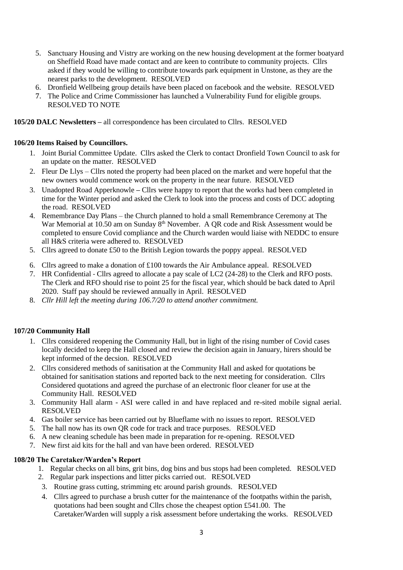- 5. Sanctuary Housing and Vistry are working on the new housing development at the former boatyard on Sheffield Road have made contact and are keen to contribute to community projects. Cllrs asked if they would be willing to contribute towards park equipment in Unstone, as they are the nearest parks to the development. RESOLVED
- 6. Dronfield Wellbeing group details have been placed on facebook and the website. RESOLVED
- 7. The Police and Crime Commissioner has launched a Vulnerability Fund for eligible groups. RESOLVED TO NOTE

**105/20 DALC Newsletters –** all correspondence has been circulated to Cllrs. RESOLVED

#### <span id="page-2-0"></span>**106/20 Items Raised by Councillors.**

- 1. Joint Burial Committee Update. Cllrs asked the Clerk to contact Dronfield Town Council to ask for an update on the matter. RESOLVED
- 2. Fleur De Llys [Cllrs noted the property had been placed on the market and were hopeful that the](file:///C:/Users/Unstone%20Parish%20Clerk/Documents/UNSTONE%20PARISH%20COUNCIL/Clerk)  [new owners would commence work on the property in the near future. RESOLVED](file:///C:/Users/Unstone%20Parish%20Clerk/Documents/UNSTONE%20PARISH%20COUNCIL/Clerk)
- 3. Unadopted Road Apperknowle **–** Cllrs were happy to report that the works had been completed in time for the Winter period and asked the Clerk to look into the process and costs of DCC adopting the road. RESOLVED
- 4. Remembrance Day Plans [the Church planned to hold a small](file:///C:/Users/Unstone%20Parish%20Clerk/Documents/UNSTONE%20PARISH%20COUNCIL/Clerk) Remembrance Ceremony at The War Memorial at 10.50 am on Sunday  $8<sup>th</sup>$  November. A QR code and Risk Assessment would be [completed to ensure Covid compliance](file:///C:/Users/Unstone%20Parish%20Clerk/Documents/UNSTONE%20PARISH%20COUNCIL/Clerk) and the Church warden would liaise with NEDDC to ensure all H&S criteria were adhered to. RESOLVED
- 5. Cllrs agreed to donate £50 to the British Legion towards the poppy appeal. RESOLVED
- 6. Cllrs agreed to make a donation of £100 towards the Air Ambulance appeal. RESOLVED
- 7. HR Confidential Cllrs agreed to allocate a pay scale of LC2 (24-28) to the Clerk and RFO posts. The Clerk and RFO should rise to point 25 for the fiscal year, which should be back dated to April 2020. Staff pay should be reviewed annually in April. RESOLVED
- 8. *Cllr Hill left the meeting during 106.7/20 to attend another commitment.*

#### <span id="page-2-1"></span>**107/20 Community Hall**

- 1. [Cllrs considered reopening the Community Hall, but in light of the rising](file:///C:/Users/Unstone%20Parish%20Clerk/Documents/UNSTONE%20PARISH%20COUNCIL/Clerk) number of Covid cases [locally decided to keep the Hall closed and review the decision again in January, hirers should be](file:///C:/Users/Unstone%20Parish%20Clerk/Documents/UNSTONE%20PARISH%20COUNCIL/Clerk)  [kept informed of the decsion. RESOLVED](file:///C:/Users/Unstone%20Parish%20Clerk/Documents/UNSTONE%20PARISH%20COUNCIL/Clerk)
- 2. Cllrs considered [methods of sanitisation at the Community Hall](file:///C:/Users/Unstone%20Parish%20Clerk/Documents/UNSTONE%20PARISH%20COUNCIL/Clerk) and asked for quotations be [obtained for sanitisation stations and reported back to the next meeting for consideration. Cllrs](file:///C:/Users/Unstone%20Parish%20Clerk/Documents/UNSTONE%20PARISH%20COUNCIL/Clerk)  [Considered quotations and agreed the purchase of an electronic floor cleaner for use at the](file:///C:/Users/Unstone%20Parish%20Clerk/Documents/UNSTONE%20PARISH%20COUNCIL/Clerk)  [Community Hall. RESOLVED](file:///C:/Users/Unstone%20Parish%20Clerk/Documents/UNSTONE%20PARISH%20COUNCIL/Clerk)
- 3. Community Hall alarm [ASI were called in and have replaced and re-sited mobile signal aerial.](file:///C:/Users/Unstone%20Parish%20Clerk/Documents/UNSTONE%20PARISH%20COUNCIL/Clerk)  [RESOLVED](file:///C:/Users/Unstone%20Parish%20Clerk/Documents/UNSTONE%20PARISH%20COUNCIL/Clerk)
- 4. [Gas boiler service has been carried out by Blueflame with no issues to report.](file:///C:/Users/Unstone%20Parish%20Clerk/Documents/UNSTONE%20PARISH%20COUNCIL/Clerk) RESOLVED
- 5. [The hall now has its own QR code for track and trace purposes.](file:///C:/Users/Unstone%20Parish%20Clerk/Documents/UNSTONE%20PARISH%20COUNCIL/Clerk) RESOLVED
- 6. [A new cleaning schedule has been made](file:///C:/Users/Unstone%20Parish%20Clerk/Documents/UNSTONE%20PARISH%20COUNCIL/Clerk) in preparation for re-opening. RESOLVED
- 7. [New first aid kits for the hall and van have been ordered.](file:///C:/Users/Unstone%20Parish%20Clerk/Documents/UNSTONE%20PARISH%20COUNCIL/Clerk) RESOLVED

#### <span id="page-2-2"></span>**108/20 The Caretaker/Warden's Report**

- 1. Regular checks on all bins, grit bins, dog bins and bus stops had been completed. RESOLVED
- 2. Regular park inspections and litter picks carried out. RESOLVED
- 3. Routine grass cutting, strimming etc around parish grounds. RESOLVED
- 4. Cllrs agreed to purchase a brush cutter for the maintenance of the footpaths within the parish, quotations had been sought and Cllrs chose the cheapest option £541.00. The Caretaker/Warden will supply a risk assessment before undertaking the works. RESOLVED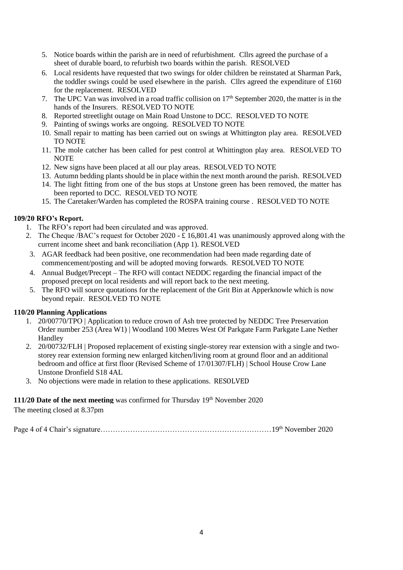- 5. Notice boards within the parish are in need of [refurbishment. Cllrs agreed the purchase of a](file:///C:/Users/Unstone%20Parish%20Clerk/Documents/UNSTONE%20PARISH%20COUNCIL/Clerk)  [sheet of durable board, to refurbish two boards within the parish. RESOLVED](file:///C:/Users/Unstone%20Parish%20Clerk/Documents/UNSTONE%20PARISH%20COUNCIL/Clerk)
- 6. Local residents have [requested that two swings for older children be reinstated at](file:///C:/Users/Unstone%20Parish%20Clerk/Documents/UNSTONE%20PARISH%20COUNCIL/Clerk) Sharman Park, [the toddler swings could be used elsewhere in the parish. Cllrs agreed the expenditure of £160](file:///C:/Users/Unstone%20Parish%20Clerk/Documents/UNSTONE%20PARISH%20COUNCIL/Clerk)  [for the replacement. RESOLVED](file:///C:/Users/Unstone%20Parish%20Clerk/Documents/UNSTONE%20PARISH%20COUNCIL/Clerk)
- 7. The UPC Van was involved in a road traffic collision on  $17<sup>th</sup>$  September 2020, the matter is in the hands of the Insurers. RESOLVED TO NOTE
- 8. [Reported streetlight outage on Main Road Unstone to](file:///C:/Users/Unstone%20Parish%20Clerk/Documents/UNSTONE%20PARISH%20COUNCIL/Clerk) DCC. RESOLVED TO NOTE
- 9. [Painting of swings works are](file:///C:/Users/Unstone%20Parish%20Clerk/Documents/UNSTONE%20PARISH%20COUNCIL/Clerk) ongoing. RESOLVED TO NOTE
- 10. [Small repair to matting has been carried out](file:///C:/Users/Unstone%20Parish%20Clerk/Documents/UNSTONE%20PARISH%20COUNCIL/Clerk) on swings at Whittington play area. RESOLVED TO NOTE
- 11. The mole catcher has been called [for pest control at Whittington play area.](file:///C:/Users/Unstone%20Parish%20Clerk/Documents/UNSTONE%20PARISH%20COUNCIL/Clerk) RESOLVED TO NOTE
- 12. [New signs have been placed at all our](file:///C:/Users/Unstone%20Parish%20Clerk/Documents/UNSTONE%20PARISH%20COUNCIL/Clerk) play areas. RESOLVED TO NOTE
- 13. Autumn bedding plants should be in place within the next month around the parish. RESOLVED
- 14. [The light fitting from one of the bus stops at Unstone green](file:///C:/Users/Unstone%20Parish%20Clerk/Documents/UNSTONE%20PARISH%20COUNCIL/Clerk) has been removed, the matter has [been reported to DCC. RESOLVED TO NOTE](file:///C:/Users/Unstone%20Parish%20Clerk/Documents/UNSTONE%20PARISH%20COUNCIL/Clerk)
- 15. The Caretaker/Warden has completed the ROSPA training course [.](file:///C:/Users/Unstone%20Parish%20Clerk/Documents/UNSTONE%20PARISH%20COUNCIL/Clerk) RESOLVED TO NOTE

#### <span id="page-3-0"></span>**109/20 RFO's Report.**

- 1. The RFO's report had been circulated and was approved.
- 2. The Cheque *(BAC's request for October 2020*  $\hat{t}$  *16,801.41 was unanimously approved along with the* current income sheet and bank reconciliation (App 1). RESOLVED
- 3. AGAR feedback had been positive, one recommendation had been made regarding date of commencement/posting and will be adopted moving forwards. RESOLVED TO NOTE
- 4. Annual Budget/Precept [The RFO will contact NEDDC regarding the financial impact of the](file:///C:/Users/Unstone%20Parish%20Clerk/Documents/UNSTONE%20PARISH%20COUNCIL/Clerk)  [proposed precept on local residents and will report back to the next meeting.](file:///C:/Users/Unstone%20Parish%20Clerk/Documents/UNSTONE%20PARISH%20COUNCIL/Clerk)
- 5. The RFO will source quotations for the replacement of the Grit Bin at Apperknowle which is now beyond repair. RESOLVED TO NOTE

## <span id="page-3-1"></span>**110/20 Planning Applications**

- 1. 20/00770/TPO | Application to reduce crown of Ash tree protected by NEDDC Tree Preservation Order number 253 (Area W1) | Woodland 100 Metres West Of Parkgate Farm Parkgate Lane Nether Handley
- 2. 20/00732/FLH | Proposed replacement of existing single-storey rear extension with a single and twostorey rear extension forming new enlarged kitchen/living room at ground floor and an additional bedroom and office at first floor (Revised Scheme of 17/01307/FLH) | School House Crow Lane Unstone Dronfield S18 4AL
- 3. No objections were made in relation to these applications. RESOLVED

# <span id="page-3-2"></span>**111/20 Date of the next meeting** was confirmed for Thursday 19<sup>th</sup> November 2020

The meeting closed at 8.37pm

Page 4 of 4 Chair's signature……………………………………………………………19th November 2020